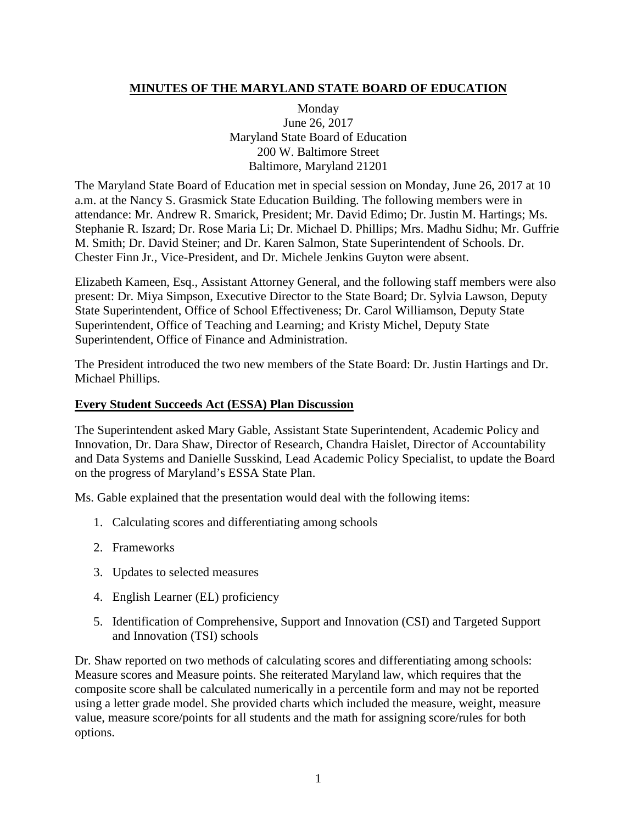### **MINUTES OF THE MARYLAND STATE BOARD OF EDUCATION**

Monday June 26, 2017 Maryland State Board of Education 200 W. Baltimore Street Baltimore, Maryland 21201

The Maryland State Board of Education met in special session on Monday, June 26, 2017 at 10 a.m. at the Nancy S. Grasmick State Education Building. The following members were in attendance: Mr. Andrew R. Smarick, President; Mr. David Edimo; Dr. Justin M. Hartings; Ms. Stephanie R. Iszard; Dr. Rose Maria Li; Dr. Michael D. Phillips; Mrs. Madhu Sidhu; Mr. Guffrie M. Smith; Dr. David Steiner; and Dr. Karen Salmon, State Superintendent of Schools. Dr. Chester Finn Jr., Vice-President, and Dr. Michele Jenkins Guyton were absent.

Elizabeth Kameen, Esq., Assistant Attorney General, and the following staff members were also present: Dr. Miya Simpson, Executive Director to the State Board; Dr. Sylvia Lawson, Deputy State Superintendent, Office of School Effectiveness; Dr. Carol Williamson, Deputy State Superintendent, Office of Teaching and Learning; and Kristy Michel, Deputy State Superintendent, Office of Finance and Administration.

The President introduced the two new members of the State Board: Dr. Justin Hartings and Dr. Michael Phillips.

#### **Every Student Succeeds Act (ESSA) Plan Discussion**

The Superintendent asked Mary Gable, Assistant State Superintendent, Academic Policy and Innovation, Dr. Dara Shaw, Director of Research, Chandra Haislet, Director of Accountability and Data Systems and Danielle Susskind, Lead Academic Policy Specialist, to update the Board on the progress of Maryland's ESSA State Plan.

Ms. Gable explained that the presentation would deal with the following items:

- 1. Calculating scores and differentiating among schools
- 2. Frameworks
- 3. Updates to selected measures
- 4. English Learner (EL) proficiency
- 5. Identification of Comprehensive, Support and Innovation (CSI) and Targeted Support and Innovation (TSI) schools

Dr. Shaw reported on two methods of calculating scores and differentiating among schools: Measure scores and Measure points. She reiterated Maryland law, which requires that the composite score shall be calculated numerically in a percentile form and may not be reported using a letter grade model. She provided charts which included the measure, weight, measure value, measure score/points for all students and the math for assigning score/rules for both options.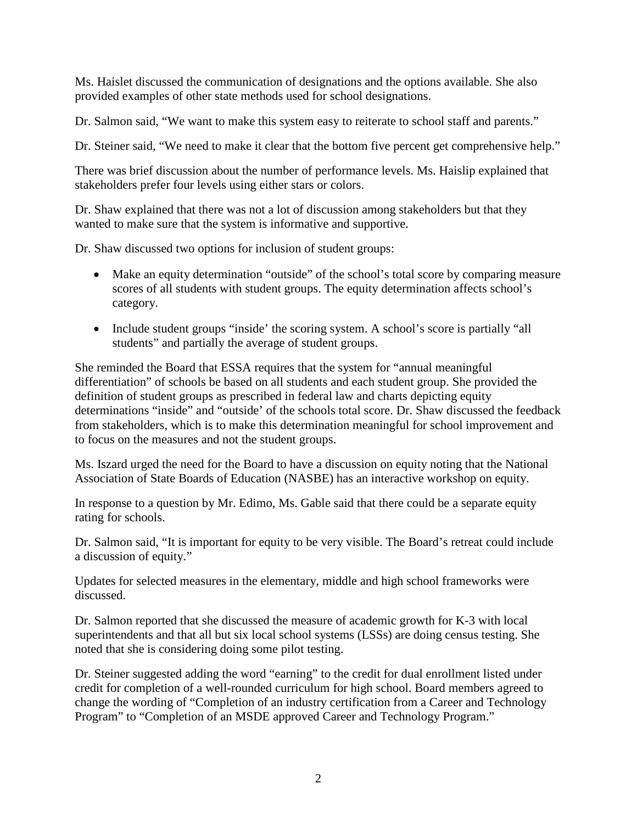Ms. Haislet discussed the communication of designations and the options available. She also provided examples of other state methods used for school designations.

Dr. Salmon said, "We want to make this system easy to reiterate to school staff and parents."

Dr. Steiner said, "We need to make it clear that the bottom five percent get comprehensive help."

There was brief discussion about the number of performance levels. Ms. Haislip explained that stakeholders prefer four levels using either stars or colors.

Dr. Shaw explained that there was not a lot of discussion among stakeholders but that they wanted to make sure that the system is informative and supportive.

Dr. Shaw discussed two options for inclusion of student groups:

- Make an equity determination "outside" of the school's total score by comparing measure scores of all students with student groups. The equity determination affects school's category.
- Include student groups "inside" the scoring system. A school's score is partially "all students" and partially the average of student groups.

She reminded the Board that ESSA requires that the system for "annual meaningful differentiation" of schools be based on all students and each student group. She provided the definition of student groups as prescribed in federal law and charts depicting equity determinations "inside" and "outside' of the schools total score. Dr. Shaw discussed the feedback from stakeholders, which is to make this determination meaningful for school improvement and to focus on the measures and not the student groups.

Ms. Iszard urged the need for the Board to have a discussion on equity noting that the National Association of State Boards of Education (NASBE) has an interactive workshop on equity.

In response to a question by Mr. Edimo, Ms. Gable said that there could be a separate equity rating for schools.

Dr. Salmon said, "It is important for equity to be very visible. The Board's retreat could include a discussion of equity."

Updates for selected measures in the elementary, middle and high school frameworks were discussed.

Dr. Salmon reported that she discussed the measure of academic growth for K-3 with local superintendents and that all but six local school systems (LSSs) are doing census testing. She noted that she is considering doing some pilot testing.

Dr. Steiner suggested adding the word "earning" to the credit for dual enrollment listed under credit for completion of a well-rounded curriculum for high school. Board members agreed to change the wording of "Completion of an industry certification from a Career and Technology Program" to "Completion of an MSDE approved Career and Technology Program."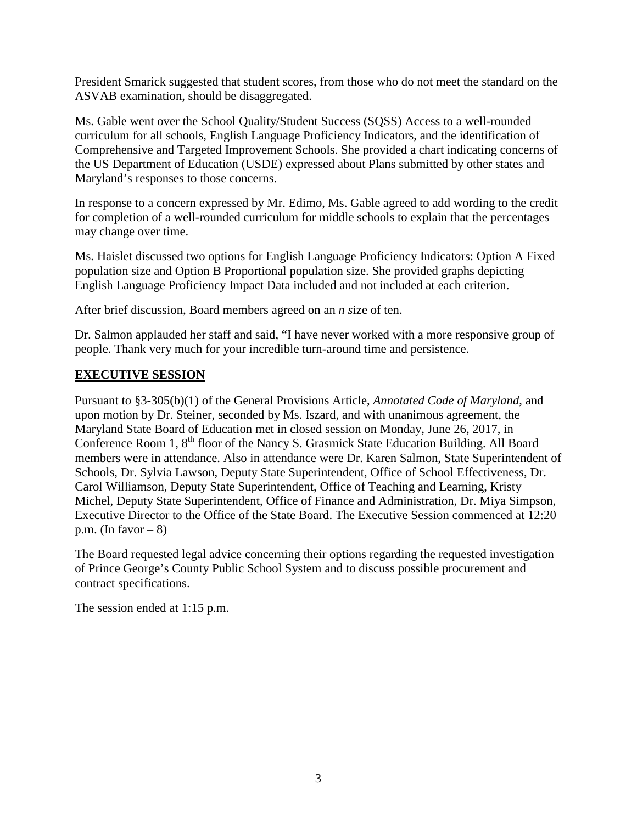President Smarick suggested that student scores, from those who do not meet the standard on the ASVAB examination, should be disaggregated.

Ms. Gable went over the School Quality/Student Success (SQSS) Access to a well-rounded curriculum for all schools, English Language Proficiency Indicators, and the identification of Comprehensive and Targeted Improvement Schools. She provided a chart indicating concerns of the US Department of Education (USDE) expressed about Plans submitted by other states and Maryland's responses to those concerns.

In response to a concern expressed by Mr. Edimo, Ms. Gable agreed to add wording to the credit for completion of a well-rounded curriculum for middle schools to explain that the percentages may change over time.

Ms. Haislet discussed two options for English Language Proficiency Indicators: Option A Fixed population size and Option B Proportional population size. She provided graphs depicting English Language Proficiency Impact Data included and not included at each criterion.

After brief discussion, Board members agreed on an *n s*ize of ten.

Dr. Salmon applauded her staff and said, "I have never worked with a more responsive group of people. Thank very much for your incredible turn-around time and persistence.

#### **EXECUTIVE SESSION**

Pursuant to §3-305(b)(1) of the General Provisions Article, *Annotated Code of Maryland*, and upon motion by Dr. Steiner, seconded by Ms. Iszard, and with unanimous agreement, the Maryland State Board of Education met in closed session on Monday, June 26, 2017, in Conference Room 1, 8<sup>th</sup> floor of the Nancy S. Grasmick State Education Building. All Board members were in attendance. Also in attendance were Dr. Karen Salmon, State Superintendent of Schools, Dr. Sylvia Lawson, Deputy State Superintendent, Office of School Effectiveness, Dr. Carol Williamson, Deputy State Superintendent, Office of Teaching and Learning, Kristy Michel, Deputy State Superintendent, Office of Finance and Administration, Dr. Miya Simpson, Executive Director to the Office of the State Board. The Executive Session commenced at 12:20 p.m. (In favor  $-8$ )

The Board requested legal advice concerning their options regarding the requested investigation of Prince George's County Public School System and to discuss possible procurement and contract specifications.

The session ended at 1:15 p.m.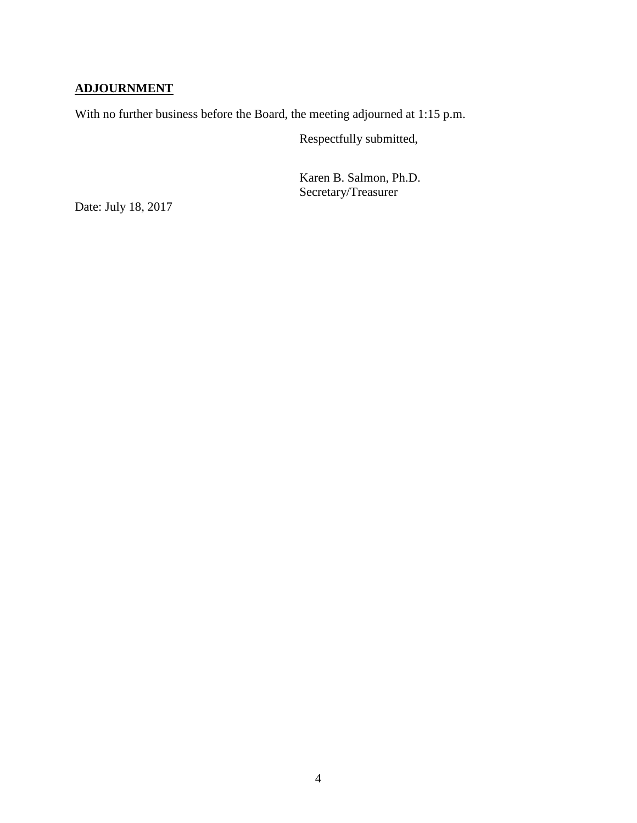## **ADJOURNMENT**

With no further business before the Board, the meeting adjourned at 1:15 p.m.

Respectfully submitted,

Karen B. Salmon, Ph.D. Secretary/Treasurer

Date: July 18, 2017